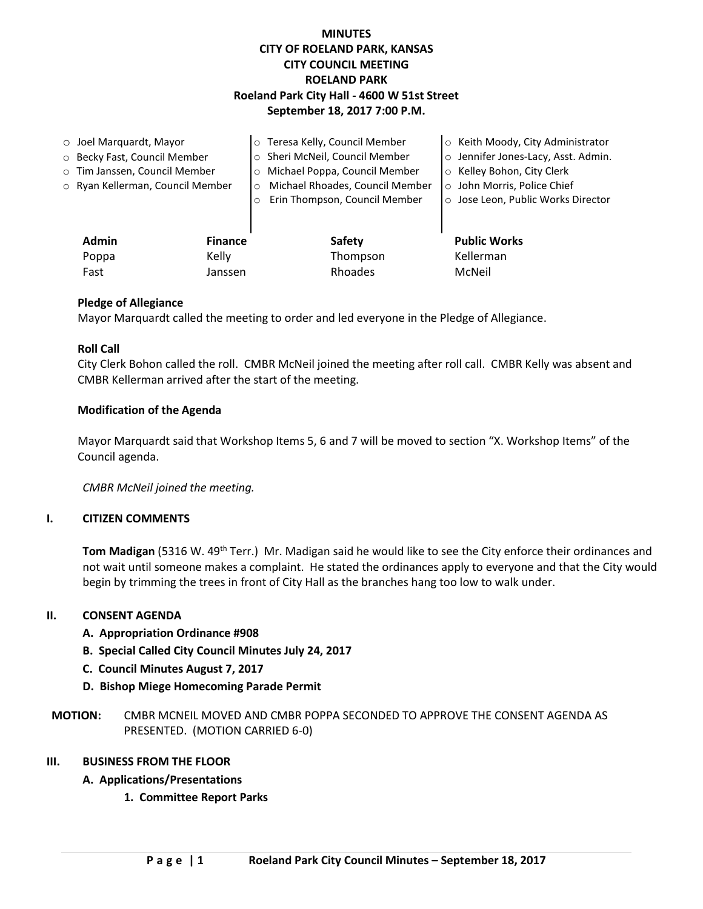# **MINUTES CITY OF ROELAND PARK, KANSAS CITY COUNCIL MEETING ROELAND PARK Roeland Park City Hall - 4600 W 51st Street September 18, 2017 7:00 P.M.**

| $\circ$ Joel Marquardt, Mayor |                                  |                | o Teresa Kelly, Council Member           | ○ Keith Moody, City Administrator   |
|-------------------------------|----------------------------------|----------------|------------------------------------------|-------------------------------------|
| ○ Becky Fast, Council Member  |                                  |                | o Sheri McNeil, Council Member           | o Jennifer Jones-Lacy, Asst. Admin. |
|                               | o Tim Janssen, Council Member    |                | Michael Poppa, Council Member<br>$\circ$ | ○ Kelley Bohon, City Clerk          |
|                               | o Ryan Kellerman, Council Member |                | Michael Rhoades, Council Member<br>O     | o John Morris, Police Chief         |
|                               |                                  |                | Erin Thompson, Council Member<br>$\circ$ | ○ Jose Leon, Public Works Director  |
|                               |                                  |                |                                          |                                     |
|                               | <b>Admin</b>                     | <b>Finance</b> | Safety                                   | <b>Public Works</b>                 |
|                               | Poppa                            | Kelly          | Thompson                                 | Kellerman                           |
|                               | Fast                             | Janssen        | Rhoades                                  | McNeil                              |

#### **Pledge of Allegiance**

Mayor Marquardt called the meeting to order and led everyone in the Pledge of Allegiance.

#### **Roll Call**

City Clerk Bohon called the roll. CMBR McNeil joined the meeting after roll call. CMBR Kelly was absent and CMBR Kellerman arrived after the start of the meeting.

#### **Modification of the Agenda**

Mayor Marquardt said that Workshop Items 5, 6 and 7 will be moved to section "X. Workshop Items" of the Council agenda.

*CMBR McNeil joined the meeting.* 

### **I. CITIZEN COMMENTS**

**Tom Madigan** (5316 W. 49<sup>th</sup> Terr.) Mr. Madigan said he would like to see the City enforce their ordinances and not wait until someone makes a complaint. He stated the ordinances apply to everyone and that the City would begin by trimming the trees in front of City Hall as the branches hang too low to walk under.

#### **II. CONSENT AGENDA**

- **A. Appropriation Ordinance #908**
- **B. Special Called City Council Minutes July 24, 2017**
- **C. Council Minutes August 7, 2017**
- **D. Bishop Miege Homecoming Parade Permit**
- **MOTION:** CMBR MCNEIL MOVED AND CMBR POPPA SECONDED TO APPROVE THE CONSENT AGENDA AS PRESENTED. (MOTION CARRIED 6-0)

#### **III. BUSINESS FROM THE FLOOR**

- **A. Applications/Presentations**
	- **1. Committee Report Parks**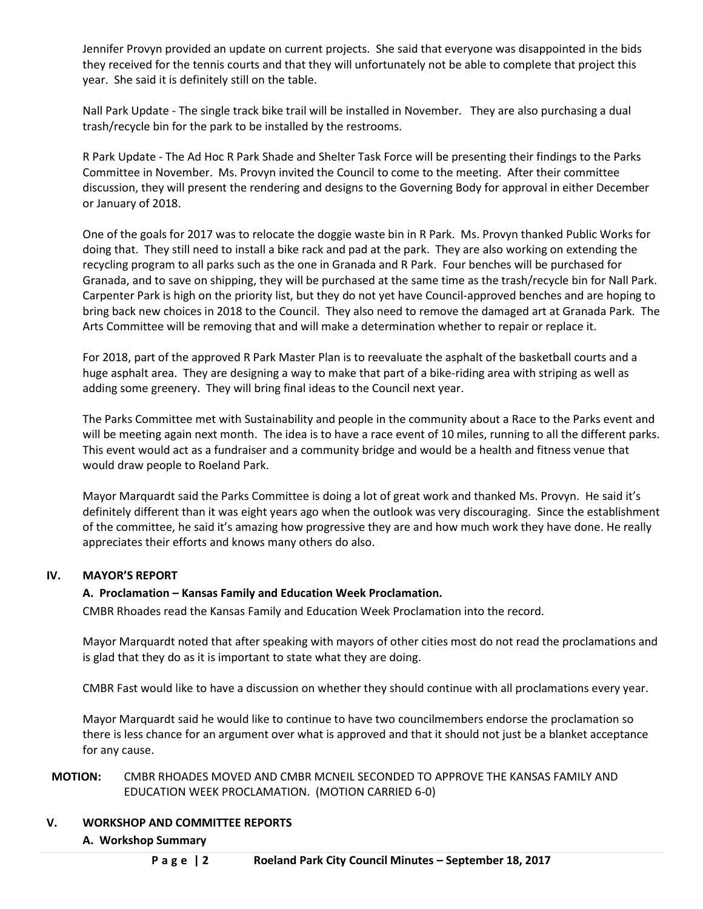Jennifer Provyn provided an update on current projects. She said that everyone was disappointed in the bids they received for the tennis courts and that they will unfortunately not be able to complete that project this year. She said it is definitely still on the table.

Nall Park Update - The single track bike trail will be installed in November. They are also purchasing a dual trash/recycle bin for the park to be installed by the restrooms.

R Park Update - The Ad Hoc R Park Shade and Shelter Task Force will be presenting their findings to the Parks Committee in November. Ms. Provyn invited the Council to come to the meeting. After their committee discussion, they will present the rendering and designs to the Governing Body for approval in either December or January of 2018.

One of the goals for 2017 was to relocate the doggie waste bin in R Park. Ms. Provyn thanked Public Works for doing that. They still need to install a bike rack and pad at the park. They are also working on extending the recycling program to all parks such as the one in Granada and R Park. Four benches will be purchased for Granada, and to save on shipping, they will be purchased at the same time as the trash/recycle bin for Nall Park. Carpenter Park is high on the priority list, but they do not yet have Council-approved benches and are hoping to bring back new choices in 2018 to the Council. They also need to remove the damaged art at Granada Park. The Arts Committee will be removing that and will make a determination whether to repair or replace it.

For 2018, part of the approved R Park Master Plan is to reevaluate the asphalt of the basketball courts and a huge asphalt area. They are designing a way to make that part of a bike-riding area with striping as well as adding some greenery. They will bring final ideas to the Council next year.

The Parks Committee met with Sustainability and people in the community about a Race to the Parks event and will be meeting again next month. The idea is to have a race event of 10 miles, running to all the different parks. This event would act as a fundraiser and a community bridge and would be a health and fitness venue that would draw people to Roeland Park.

Mayor Marquardt said the Parks Committee is doing a lot of great work and thanked Ms. Provyn. He said it's definitely different than it was eight years ago when the outlook was very discouraging. Since the establishment of the committee, he said it's amazing how progressive they are and how much work they have done. He really appreciates their efforts and knows many others do also.

### **IV. MAYOR'S REPORT**

### **A. Proclamation – Kansas Family and Education Week Proclamation.**

CMBR Rhoades read the Kansas Family and Education Week Proclamation into the record.

Mayor Marquardt noted that after speaking with mayors of other cities most do not read the proclamations and is glad that they do as it is important to state what they are doing.

CMBR Fast would like to have a discussion on whether they should continue with all proclamations every year.

Mayor Marquardt said he would like to continue to have two councilmembers endorse the proclamation so there is less chance for an argument over what is approved and that it should not just be a blanket acceptance for any cause.

# **MOTION:** CMBR RHOADES MOVED AND CMBR MCNEIL SECONDED TO APPROVE THE KANSAS FAMILY AND EDUCATION WEEK PROCLAMATION. (MOTION CARRIED 6-0)

# **V. WORKSHOP AND COMMITTEE REPORTS**

### **A. Workshop Summary**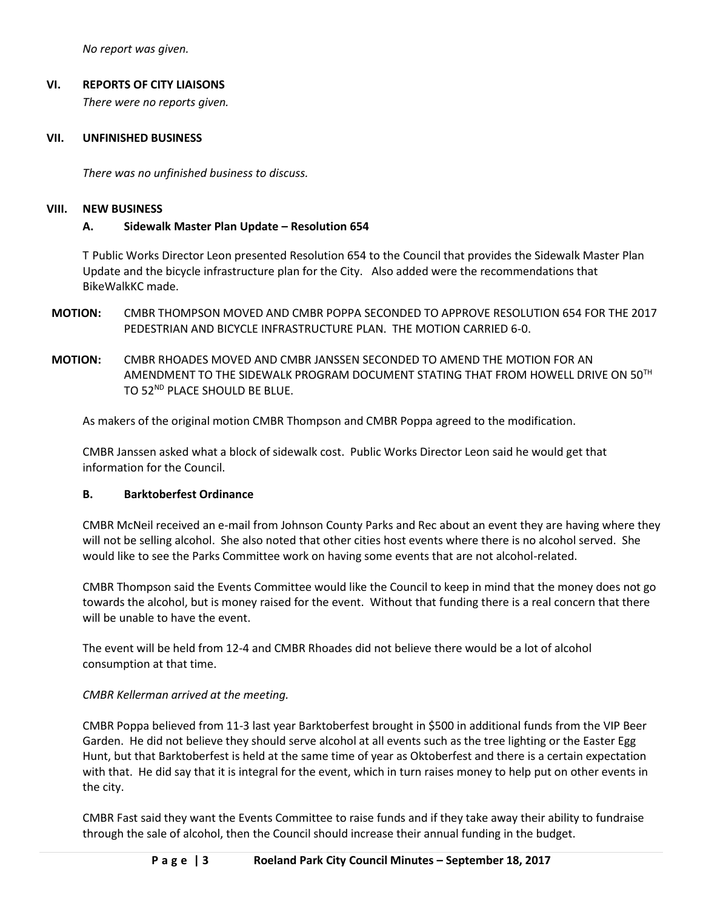*No report was given.*

## **VI. REPORTS OF CITY LIAISONS**

*There were no reports given.* 

### **VII. UNFINISHED BUSINESS**

*There was no unfinished business to discuss.*

### **VIII. NEW BUSINESS**

### **A. Sidewalk Master Plan Update – Resolution 654**

T Public Works Director Leon presented Resolution 654 to the Council that provides the Sidewalk Master Plan Update and the bicycle infrastructure plan for the City. Also added were the recommendations that BikeWalkKC made.

- **MOTION:** CMBR THOMPSON MOVED AND CMBR POPPA SECONDED TO APPROVE RESOLUTION 654 FOR THE 2017 PEDESTRIAN AND BICYCLE INFRASTRUCTURE PLAN. THE MOTION CARRIED 6-0.
- **MOTION:** CMBR RHOADES MOVED AND CMBR JANSSEN SECONDED TO AMEND THE MOTION FOR AN AMENDMENT TO THE SIDEWALK PROGRAM DOCUMENT STATING THAT FROM HOWELL DRIVE ON 50TH TO 52<sup>ND</sup> PLACE SHOULD BE BLUE.

As makers of the original motion CMBR Thompson and CMBR Poppa agreed to the modification.

CMBR Janssen asked what a block of sidewalk cost. Public Works Director Leon said he would get that information for the Council.

### **B. Barktoberfest Ordinance**

CMBR McNeil received an e-mail from Johnson County Parks and Rec about an event they are having where they will not be selling alcohol. She also noted that other cities host events where there is no alcohol served. She would like to see the Parks Committee work on having some events that are not alcohol-related.

CMBR Thompson said the Events Committee would like the Council to keep in mind that the money does not go towards the alcohol, but is money raised for the event. Without that funding there is a real concern that there will be unable to have the event.

The event will be held from 12-4 and CMBR Rhoades did not believe there would be a lot of alcohol consumption at that time.

### *CMBR Kellerman arrived at the meeting.*

CMBR Poppa believed from 11-3 last year Barktoberfest brought in \$500 in additional funds from the VIP Beer Garden. He did not believe they should serve alcohol at all events such as the tree lighting or the Easter Egg Hunt, but that Barktoberfest is held at the same time of year as Oktoberfest and there is a certain expectation with that. He did say that it is integral for the event, which in turn raises money to help put on other events in the city.

CMBR Fast said they want the Events Committee to raise funds and if they take away their ability to fundraise through the sale of alcohol, then the Council should increase their annual funding in the budget.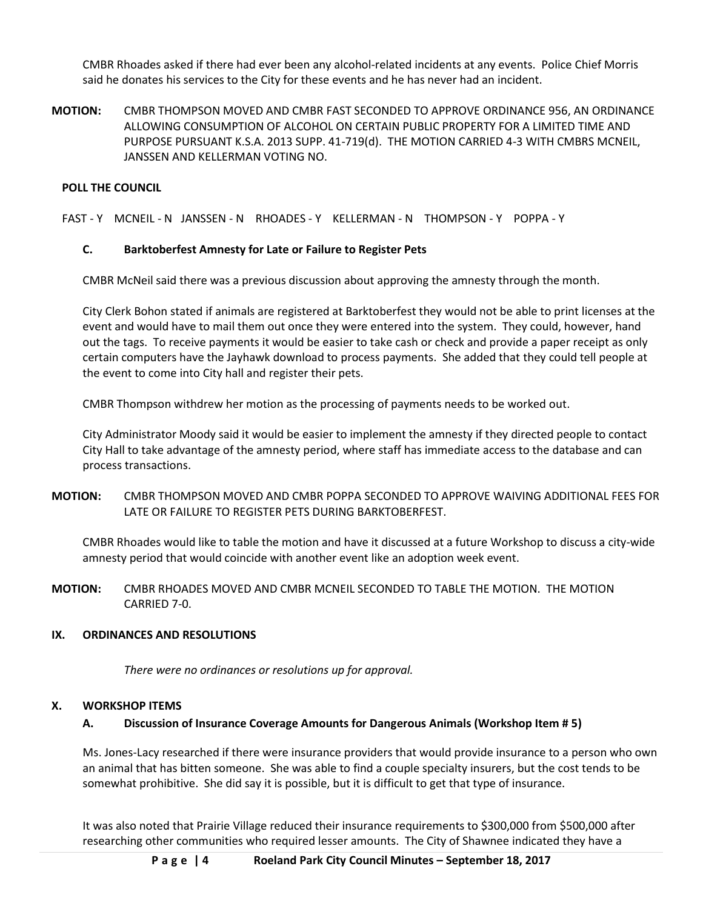CMBR Rhoades asked if there had ever been any alcohol-related incidents at any events. Police Chief Morris said he donates his services to the City for these events and he has never had an incident.

**MOTION:** CMBR THOMPSON MOVED AND CMBR FAST SECONDED TO APPROVE ORDINANCE 956, AN ORDINANCE ALLOWING CONSUMPTION OF ALCOHOL ON CERTAIN PUBLIC PROPERTY FOR A LIMITED TIME AND PURPOSE PURSUANT K.S.A. 2013 SUPP. 41-719(d). THE MOTION CARRIED 4-3 WITH CMBRS MCNEIL, JANSSEN AND KELLERMAN VOTING NO.

### **POLL THE COUNCIL**

FAST - Y MCNEIL - N JANSSEN - N RHOADES - Y KELLERMAN - N THOMPSON - Y POPPA - Y

### **C. Barktoberfest Amnesty for Late or Failure to Register Pets**

CMBR McNeil said there was a previous discussion about approving the amnesty through the month.

City Clerk Bohon stated if animals are registered at Barktoberfest they would not be able to print licenses at the event and would have to mail them out once they were entered into the system. They could, however, hand out the tags. To receive payments it would be easier to take cash or check and provide a paper receipt as only certain computers have the Jayhawk download to process payments. She added that they could tell people at the event to come into City hall and register their pets.

CMBR Thompson withdrew her motion as the processing of payments needs to be worked out.

City Administrator Moody said it would be easier to implement the amnesty if they directed people to contact City Hall to take advantage of the amnesty period, where staff has immediate access to the database and can process transactions.

**MOTION:** CMBR THOMPSON MOVED AND CMBR POPPA SECONDED TO APPROVE WAIVING ADDITIONAL FEES FOR LATE OR FAILURE TO REGISTER PETS DURING BARKTOBERFEST.

CMBR Rhoades would like to table the motion and have it discussed at a future Workshop to discuss a city-wide amnesty period that would coincide with another event like an adoption week event.

**MOTION:** CMBR RHOADES MOVED AND CMBR MCNEIL SECONDED TO TABLE THE MOTION. THE MOTION CARRIED 7-0.

### **IX. ORDINANCES AND RESOLUTIONS**

*There were no ordinances or resolutions up for approval.* 

#### **X. WORKSHOP ITEMS**

### **A. Discussion of Insurance Coverage Amounts for Dangerous Animals (Workshop Item # 5)**

Ms. Jones-Lacy researched if there were insurance providers that would provide insurance to a person who own an animal that has bitten someone. She was able to find a couple specialty insurers, but the cost tends to be somewhat prohibitive. She did say it is possible, but it is difficult to get that type of insurance.

It was also noted that Prairie Village reduced their insurance requirements to \$300,000 from \$500,000 after researching other communities who required lesser amounts. The City of Shawnee indicated they have a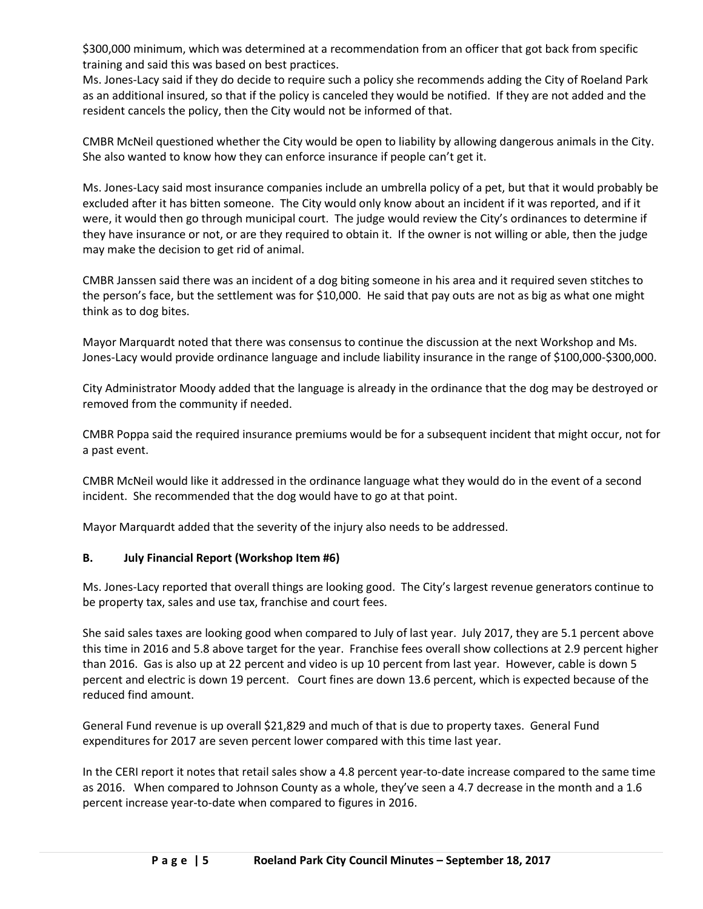\$300,000 minimum, which was determined at a recommendation from an officer that got back from specific training and said this was based on best practices.

Ms. Jones-Lacy said if they do decide to require such a policy she recommends adding the City of Roeland Park as an additional insured, so that if the policy is canceled they would be notified. If they are not added and the resident cancels the policy, then the City would not be informed of that.

CMBR McNeil questioned whether the City would be open to liability by allowing dangerous animals in the City. She also wanted to know how they can enforce insurance if people can't get it.

Ms. Jones-Lacy said most insurance companies include an umbrella policy of a pet, but that it would probably be excluded after it has bitten someone. The City would only know about an incident if it was reported, and if it were, it would then go through municipal court. The judge would review the City's ordinances to determine if they have insurance or not, or are they required to obtain it. If the owner is not willing or able, then the judge may make the decision to get rid of animal.

CMBR Janssen said there was an incident of a dog biting someone in his area and it required seven stitches to the person's face, but the settlement was for \$10,000. He said that pay outs are not as big as what one might think as to dog bites.

Mayor Marquardt noted that there was consensus to continue the discussion at the next Workshop and Ms. Jones-Lacy would provide ordinance language and include liability insurance in the range of \$100,000-\$300,000.

City Administrator Moody added that the language is already in the ordinance that the dog may be destroyed or removed from the community if needed.

CMBR Poppa said the required insurance premiums would be for a subsequent incident that might occur, not for a past event.

CMBR McNeil would like it addressed in the ordinance language what they would do in the event of a second incident. She recommended that the dog would have to go at that point.

Mayor Marquardt added that the severity of the injury also needs to be addressed.

### **B. July Financial Report (Workshop Item #6)**

Ms. Jones-Lacy reported that overall things are looking good. The City's largest revenue generators continue to be property tax, sales and use tax, franchise and court fees.

She said sales taxes are looking good when compared to July of last year. July 2017, they are 5.1 percent above this time in 2016 and 5.8 above target for the year. Franchise fees overall show collections at 2.9 percent higher than 2016. Gas is also up at 22 percent and video is up 10 percent from last year. However, cable is down 5 percent and electric is down 19 percent. Court fines are down 13.6 percent, which is expected because of the reduced find amount.

General Fund revenue is up overall \$21,829 and much of that is due to property taxes. General Fund expenditures for 2017 are seven percent lower compared with this time last year.

In the CERI report it notes that retail sales show a 4.8 percent year-to-date increase compared to the same time as 2016. When compared to Johnson County as a whole, they've seen a 4.7 decrease in the month and a 1.6 percent increase year-to-date when compared to figures in 2016.